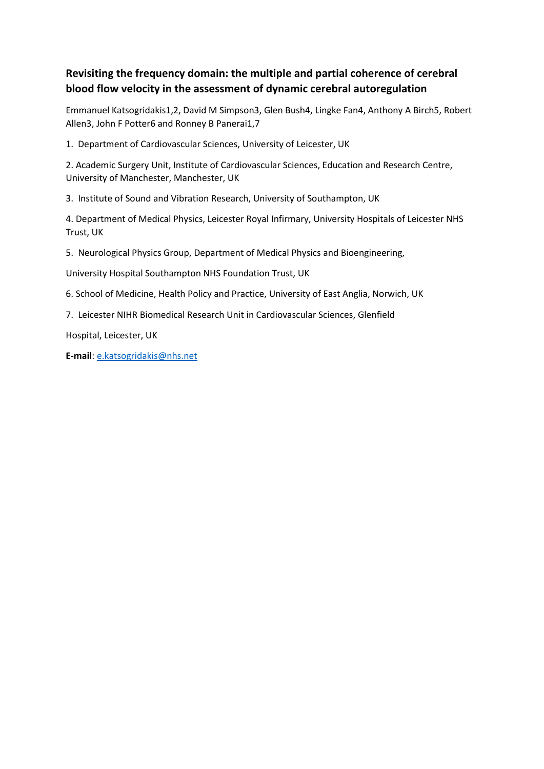# **Revisiting the frequency domain: the multiple and partial coherence of cerebral blood flow velocity in the assessment of dynamic cerebral autoregulation**

Emmanuel Katsogridakis1,2, David M Simpson3, Glen Bush4, Lingke Fan4, Anthony A Birch5, Robert Allen3, John F Potter6 and Ronney B Panerai1,7

1. Department of Cardiovascular Sciences, University of Leicester, UK

2. Academic Surgery Unit, Institute of Cardiovascular Sciences, Education and Research Centre, University of Manchester, Manchester, UK

3. Institute of Sound and Vibration Research, University of Southampton, UK

4. Department of Medical Physics, Leicester Royal Infirmary, University Hospitals of Leicester NHS Trust, UK

5. Neurological Physics Group, Department of Medical Physics and Bioengineering,

University Hospital Southampton NHS Foundation Trust, UK

6. School of Medicine, Health Policy and Practice, University of East Anglia, Norwich, UK

7. Leicester NIHR Biomedical Research Unit in Cardiovascular Sciences, Glenfield

Hospital, Leicester, UK

**E-mail**: [e.katsogridakis@nhs.net](mailto:e.katsogridakis@nhs.net)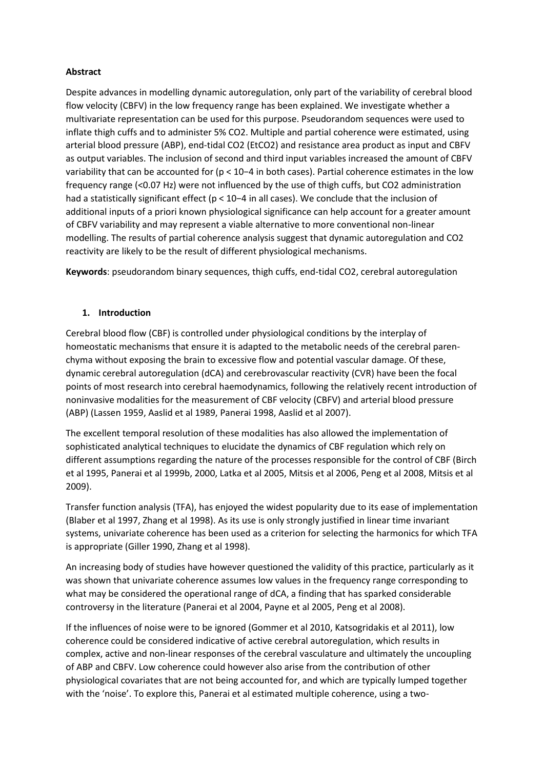### **Abstract**

Despite advances in modelling dynamic autoregulation, only part of the variability of cerebral blood flow velocity (CBFV) in the low frequency range has been explained. We investigate whether a multivariate representation can be used for this purpose. Pseudorandom sequences were used to inflate thigh cuffs and to administer 5% CO2. Multiple and partial coherence were estimated, using arterial blood pressure (ABP), end-tidal CO2 (EtCO2) and resistance area product as input and CBFV as output variables. The inclusion of second and third input variables increased the amount of CBFV variability that can be accounted for (p < 10−4 in both cases). Partial coherence estimates in the low frequency range (<0.07 Hz) were not influenced by the use of thigh cuffs, but CO2 administration had a statistically significant effect (p < 10−4 in all cases). We conclude that the inclusion of additional inputs of a priori known physiological significance can help account for a greater amount of CBFV variability and may represent a viable alternative to more conventional non-linear modelling. The results of partial coherence analysis suggest that dynamic autoregulation and CO2 reactivity are likely to be the result of different physiological mechanisms.

**Keywords**: pseudorandom binary sequences, thigh cuffs, end-tidal CO2, cerebral autoregulation

### **1. Introduction**

Cerebral blood flow (CBF) is controlled under physiological conditions by the interplay of homeostatic mechanisms that ensure it is adapted to the metabolic needs of the cerebral parenchyma without exposing the brain to excessive flow and potential vascular damage. Of these, dynamic cerebral autoregulation (dCA) and cerebrovascular reactivity (CVR) have been the focal points of most research into cerebral haemodynamics, following the relatively recent introduction of noninvasive modalities for the measurement of CBF velocity (CBFV) and arterial blood pressure (ABP) (Lassen 1959, Aaslid et al 1989, Panerai 1998, Aaslid et al 2007).

The excellent temporal resolution of these modalities has also allowed the implementation of sophisticated analytical techniques to elucidate the dynamics of CBF regulation which rely on different assumptions regarding the nature of the processes responsible for the control of CBF (Birch et al 1995, Panerai et al 1999b, 2000, Latka et al 2005, Mitsis et al 2006, Peng et al 2008, Mitsis et al 2009).

Transfer function analysis (TFA), has enjoyed the widest popularity due to its ease of implementation (Blaber et al 1997, Zhang et al 1998). As its use is only strongly justified in linear time invariant systems, univariate coherence has been used as a criterion for selecting the harmonics for which TFA is appropriate (Giller 1990, Zhang et al 1998).

An increasing body of studies have however questioned the validity of this practice, particularly as it was shown that univariate coherence assumes low values in the frequency range corresponding to what may be considered the operational range of dCA, a finding that has sparked considerable controversy in the literature (Panerai et al 2004, Payne et al 2005, Peng et al 2008).

If the influences of noise were to be ignored (Gommer et al 2010, Katsogridakis et al 2011), low coherence could be considered indicative of active cerebral autoregulation, which results in complex, active and non-linear responses of the cerebral vasculature and ultimately the uncoupling of ABP and CBFV. Low coherence could however also arise from the contribution of other physiological covariates that are not being accounted for, and which are typically lumped together with the 'noise'. To explore this, Panerai et al estimated multiple coherence, using a two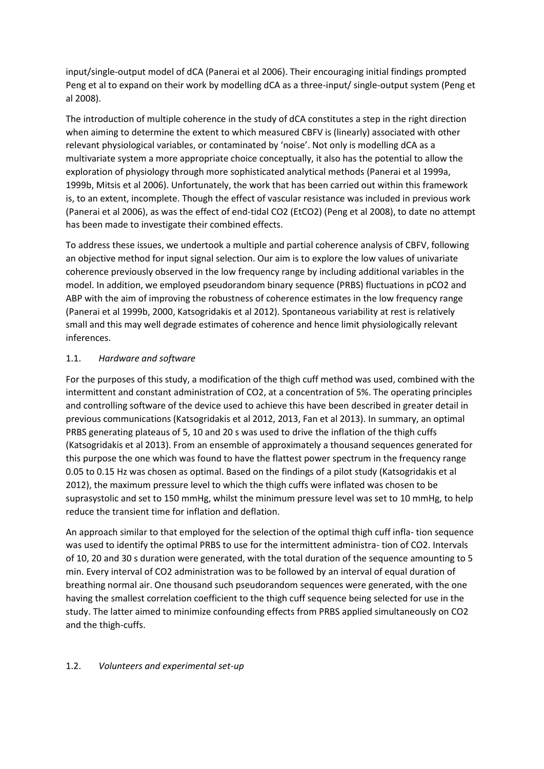input/single-output model of dCA (Panerai et al 2006). Their encouraging initial findings prompted Peng et al to expand on their work by modelling dCA as a three-input/ single-output system (Peng et al 2008).

The introduction of multiple coherence in the study of dCA constitutes a step in the right direction when aiming to determine the extent to which measured CBFV is (linearly) associated with other relevant physiological variables, or contaminated by 'noise'. Not only is modelling dCA as a multivariate system a more appropriate choice conceptually, it also has the potential to allow the exploration of physiology through more sophisticated analytical methods (Panerai et al 1999a, 1999b, Mitsis et al 2006). Unfortunately, the work that has been carried out within this framework is, to an extent, incomplete. Though the effect of vascular resistance was included in previous work (Panerai et al 2006), as was the effect of end-tidal CO2 (EtCO2) (Peng et al 2008), to date no attempt has been made to investigate their combined effects.

To address these issues, we undertook a multiple and partial coherence analysis of CBFV, following an objective method for input signal selection. Our aim is to explore the low values of univariate coherence previously observed in the low frequency range by including additional variables in the model. In addition, we employed pseudorandom binary sequence (PRBS) fluctuations in pCO2 and ABP with the aim of improving the robustness of coherence estimates in the low frequency range (Panerai et al 1999b, 2000, Katsogridakis et al 2012). Spontaneous variability at rest is relatively small and this may well degrade estimates of coherence and hence limit physiologically relevant inferences.

### 1.1. *Hardware and software*

For the purposes of this study, a modification of the thigh cuff method was used, combined with the intermittent and constant administration of CO2, at a concentration of 5%. The operating principles and controlling software of the device used to achieve this have been described in greater detail in previous communications (Katsogridakis et al 2012, 2013, Fan et al 2013). In summary, an optimal PRBS generating plateaus of 5, 10 and 20 s was used to drive the inflation of the thigh cuffs (Katsogridakis et al 2013). From an ensemble of approximately a thousand sequences generated for this purpose the one which was found to have the flattest power spectrum in the frequency range 0.05 to 0.15 Hz was chosen as optimal. Based on the findings of a pilot study (Katsogridakis et al 2012), the maximum pressure level to which the thigh cuffs were inflated was chosen to be suprasystolic and set to 150 mmHg, whilst the minimum pressure level was set to 10 mmHg, to help reduce the transient time for inflation and deflation.

An approach similar to that employed for the selection of the optimal thigh cuff infla- tion sequence was used to identify the optimal PRBS to use for the intermittent administra- tion of CO2. Intervals of 10, 20 and 30 s duration were generated, with the total duration of the sequence amounting to 5 min. Every interval of CO2 administration was to be followed by an interval of equal duration of breathing normal air. One thousand such pseudorandom sequences were generated, with the one having the smallest correlation coefficient to the thigh cuff sequence being selected for use in the study. The latter aimed to minimize confounding effects from PRBS applied simultaneously on CO2 and the thigh-cuffs.

### 1.2. *Volunteers and experimental set-up*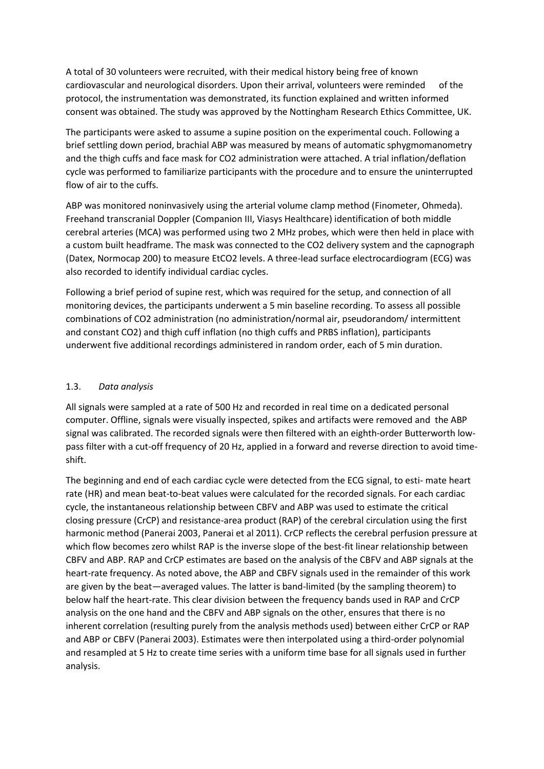A total of 30 volunteers were recruited, with their medical history being free of known cardiovascular and neurological disorders. Upon their arrival, volunteers were reminded of the protocol, the instrumentation was demonstrated, its function explained and written informed consent was obtained. The study was approved by the Nottingham Research Ethics Committee, UK.

The participants were asked to assume a supine position on the experimental couch. Following a brief settling down period, brachial ABP was measured by means of automatic sphygmomanometry and the thigh cuffs and face mask for CO2 administration were attached. A trial inflation/deflation cycle was performed to familiarize participants with the procedure and to ensure the uninterrupted flow of air to the cuffs.

ABP was monitored noninvasively using the arterial volume clamp method (Finometer, Ohmeda). Freehand transcranial Doppler (Companion III, Viasys Healthcare) identification of both middle cerebral arteries (MCA) was performed using two 2 MHz probes, which were then held in place with a custom built headframe. The mask was connected to the CO2 delivery system and the capnograph (Datex, Normocap 200) to measure EtCO2 levels. A three-lead surface electrocardiogram (ECG) was also recorded to identify individual cardiac cycles.

Following a brief period of supine rest, which was required for the setup, and connection of all monitoring devices, the participants underwent a 5 min baseline recording. To assess all possible combinations of CO2 administration (no administration/normal air, pseudorandom/ intermittent and constant CO2) and thigh cuff inflation (no thigh cuffs and PRBS inflation), participants underwent five additional recordings administered in random order, each of 5 min duration.

### 1.3. *Data analysis*

All signals were sampled at a rate of 500 Hz and recorded in real time on a dedicated personal computer. Offline, signals were visually inspected, spikes and artifacts were removed and the ABP signal was calibrated. The recorded signals were then filtered with an eighth-order Butterworth lowpass filter with a cut-off frequency of 20 Hz, applied in a forward and reverse direction to avoid timeshift.

The beginning and end of each cardiac cycle were detected from the ECG signal, to esti- mate heart rate (HR) and mean beat-to-beat values were calculated for the recorded signals. For each cardiac cycle, the instantaneous relationship between CBFV and ABP was used to estimate the critical closing pressure (CrCP) and resistance-area product (RAP) of the cerebral circulation using the first harmonic method (Panerai 2003, Panerai et al 2011). CrCP reflects the cerebral perfusion pressure at which flow becomes zero whilst RAP is the inverse slope of the best-fit linear relationship between CBFV and ABP. RAP and CrCP estimates are based on the analysis of the CBFV and ABP signals at the heart-rate frequency. As noted above, the ABP and CBFV signals used in the remainder of this work are given by the beat—averaged values. The latter is band-limited (by the sampling theorem) to below half the heart-rate. This clear division between the frequency bands used in RAP and CrCP analysis on the one hand and the CBFV and ABP signals on the other, ensures that there is no inherent correlation (resulting purely from the analysis methods used) between either CrCP or RAP and ABP or CBFV (Panerai 2003). Estimates were then interpolated using a third-order polynomial and resampled at 5 Hz to create time series with a uniform time base for all signals used in further analysis.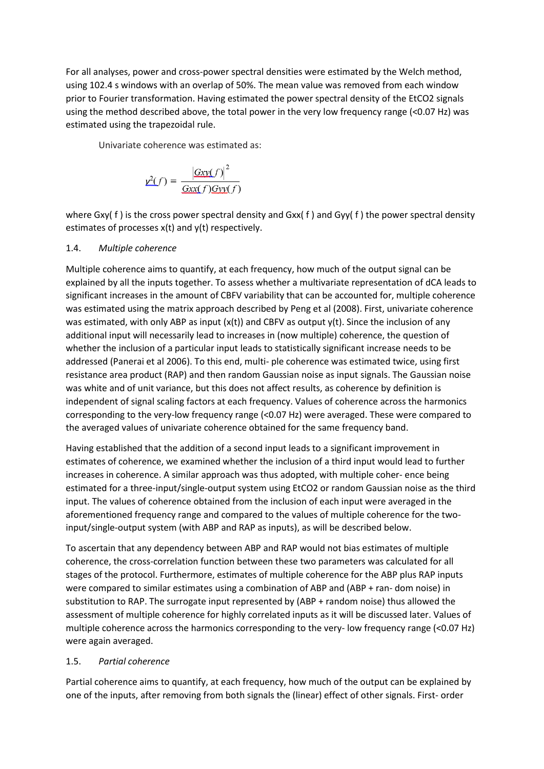For all analyses, power and cross-power spectral densities were estimated by the Welch method, using 102.4 s windows with an overlap of 50%. The mean value was removed from each window prior to Fourier transformation. Having estimated the power spectral density of the EtCO2 signals using the method described above, the total power in the very low frequency range (<0.07 Hz) was estimated using the trapezoidal rule.

Univariate coherence was estimated as:

$$
\underline{\mathbf{v}^2(f)} = \frac{|G\mathbf{x}\mathbf{v}(f)|^2}{G\mathbf{x}\mathbf{x}(f)G\mathbf{v}(f)}
$$

where Gxy( $f$ ) is the cross power spectral density and Gxx( $f$ ) and Gyy( $f$ ) the power spectral density estimates of processes x(t) and y(t) respectively.

### 1.4. *Multiple coherence*

Multiple coherence aims to quantify, at each frequency, how much of the output signal can be explained by all the inputs together. To assess whether a multivariate representation of dCA leads to significant increases in the amount of CBFV variability that can be accounted for, multiple coherence was estimated using the matrix approach described by Peng et al (2008). First, univariate coherence was estimated, with only ABP as input  $(x(t))$  and CBFV as output  $y(t)$ . Since the inclusion of any additional input will necessarily lead to increases in (now multiple) coherence, the question of whether the inclusion of a particular input leads to statistically significant increase needs to be addressed (Panerai et al 2006). To this end, multi- ple coherence was estimated twice, using first resistance area product (RAP) and then random Gaussian noise as input signals. The Gaussian noise was white and of unit variance, but this does not affect results, as coherence by definition is independent of signal scaling factors at each frequency. Values of coherence across the harmonics corresponding to the very-low frequency range (<0.07 Hz) were averaged. These were compared to the averaged values of univariate coherence obtained for the same frequency band.

Having established that the addition of a second input leads to a significant improvement in estimates of coherence, we examined whether the inclusion of a third input would lead to further increases in coherence. A similar approach was thus adopted, with multiple coher- ence being estimated for a three-input/single-output system using EtCO2 or random Gaussian noise as the third input. The values of coherence obtained from the inclusion of each input were averaged in the aforementioned frequency range and compared to the values of multiple coherence for the twoinput/single-output system (with ABP and RAP as inputs), as will be described below.

To ascertain that any dependency between ABP and RAP would not bias estimates of multiple coherence, the cross-correlation function between these two parameters was calculated for all stages of the protocol. Furthermore, estimates of multiple coherence for the ABP plus RAP inputs were compared to similar estimates using a combination of ABP and (ABP + ran- dom noise) in substitution to RAP. The surrogate input represented by (ABP + random noise) thus allowed the assessment of multiple coherence for highly correlated inputs as it will be discussed later. Values of multiple coherence across the harmonics corresponding to the very- low frequency range (<0.07 Hz) were again averaged.

### 1.5. *Partial coherence*

Partial coherence aims to quantify, at each frequency, how much of the output can be explained by one of the inputs, after removing from both signals the (linear) effect of other signals. First- order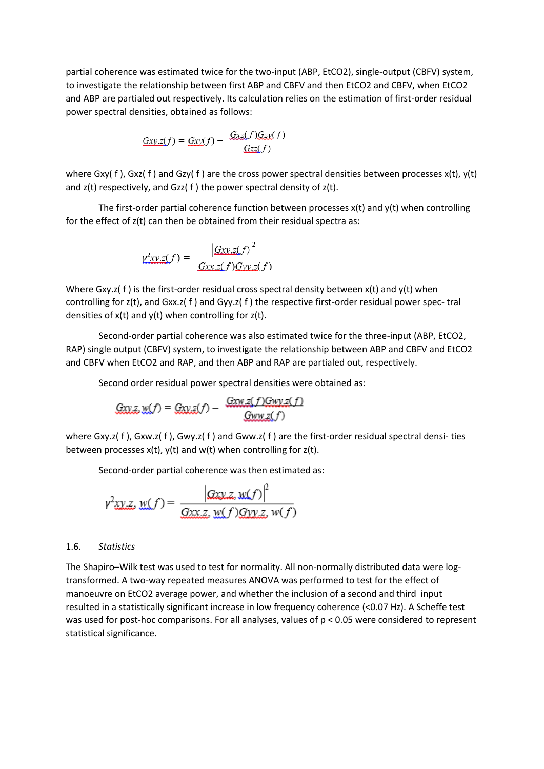partial coherence was estimated twice for the two-input (ABP, EtCO2), single-output (CBFV) system, to investigate the relationship between first ABP and CBFV and then EtCO2 and CBFV, when EtCO2 and ABP are partialed out respectively. Its calculation relies on the estimation of first-order residual power spectral densities, obtained as follows:

$$
\underline{Gxy.z}(f) = \underline{Gxy}(f) - \frac{Gxz(f)Gzy(f)}{Gzz(f)}
$$

where Gxy( f ), Gxz( f ) and Gzy( f ) are the cross power spectral densities between processes x(t), y(t) and z(t) respectively, and Gzz( f ) the power spectral density of z(t).

The first-order partial coherence function between processes x(t) and y(t) when controlling for the effect of z(t) can then be obtained from their residual spectra as:

$$
\underline{\mathbf{v}^2 \mathbf{x} \mathbf{v} z}(f) = \frac{|G \mathbf{x} \mathbf{v} z(f)|^2}{|G \mathbf{x} \mathbf{x} z(f) G \mathbf{v} \mathbf{v} z(f)|}
$$

Where Gxy.z( f) is the first-order residual cross spectral density between  $x(t)$  and  $y(t)$  when controlling for z(t), and Gxx.z( f ) and Gyy.z( f ) the respective first-order residual power spec- tral densities of  $x(t)$  and  $y(t)$  when controlling for  $z(t)$ .

Second-order partial coherence was also estimated twice for the three-input (ABP, EtCO2, RAP) single output (CBFV) system, to investigate the relationship between ABP and CBFV and EtCO2 and CBFV when EtCO2 and RAP, and then ABP and RAP are partialed out, respectively.

Second order residual power spectral densities were obtained as:

$$
Gxuz.w(f) = Gxuz(f) - \frac{Gxuz(f)Gwuz(f)}{Gwuz(f)}
$$

where Gxy.z( f), Gxw.z( f), Gwy.z( f) and Gww.z( f) are the first-order residual spectral densi- ties between processes  $x(t)$ ,  $y(t)$  and  $w(t)$  when controlling for  $z(t)$ .

Second-order partial coherence was then estimated as:

$$
\gamma^{2} \underline{\mathbf{X}} \underline{\mathbf{X}} \underline{\mathbf{W}}(f) = \frac{\left| \underline{\mathbf{G}} \underline{\mathbf{X}} \underline{\mathbf{X}} \underline{\mathbf{W}}(f) \right|^{2}}{\underline{\mathbf{G}} \underline{\mathbf{X}} \underline{\mathbf{X}} \underline{\mathbf{W}}(f) \underline{\mathbf{G}} \underline{\mathbf{W}} \underline{\mathbf{X}} \underline{\mathbf{W}}(f)}
$$

#### 1.6. *Statistics*

The Shapiro–Wilk test was used to test for normality. All non-normally distributed data were logtransformed. A two-way repeated measures ANOVA was performed to test for the effect of manoeuvre on EtCO2 average power, and whether the inclusion of a second and third input resulted in a statistically significant increase in low frequency coherence (<0.07 Hz). A Scheffe test was used for post-hoc comparisons. For all analyses, values of p < 0.05 were considered to represent statistical significance.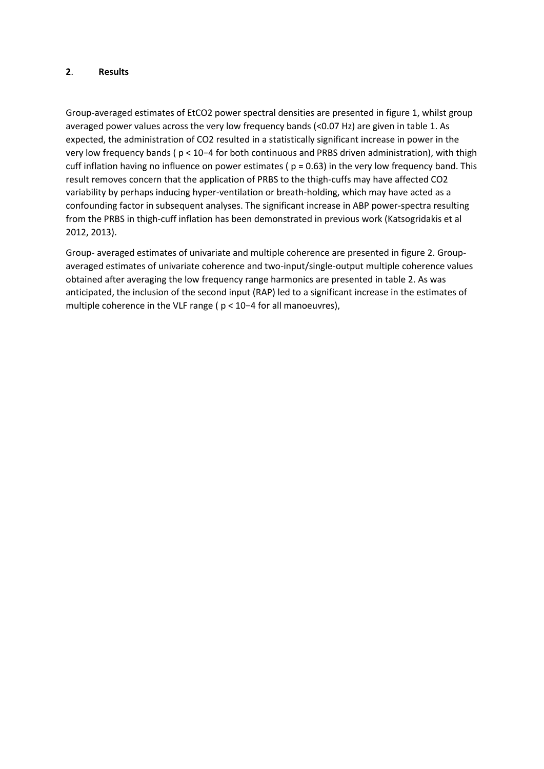### **2**. **Results**

Group-averaged estimates of EtCO2 power spectral densities are presented in figure 1, whilst group averaged power values across the very low frequency bands (<0.07 Hz) are given in table 1. As expected, the administration of CO2 resulted in a statistically significant increase in power in the very low frequency bands ( p < 10−4 for both continuous and PRBS driven administration), with thigh cuff inflation having no influence on power estimates ( $p = 0.63$ ) in the very low frequency band. This result removes concern that the application of PRBS to the thigh-cuffs may have affected CO2 variability by perhaps inducing hyper-ventilation or breath-holding, which may have acted as a confounding factor in subsequent analyses. The significant increase in ABP power-spectra resulting from the PRBS in thigh-cuff inflation has been demonstrated in previous work (Katsogridakis et al 2012, 2013).

Group- averaged estimates of univariate and multiple coherence are presented in figure 2. Groupaveraged estimates of univariate coherence and two-input/single-output multiple coherence values obtained after averaging the low frequency range harmonics are presented in table 2. As was anticipated, the inclusion of the second input (RAP) led to a significant increase in the estimates of multiple coherence in the VLF range ( p < 10−4 for all manoeuvres),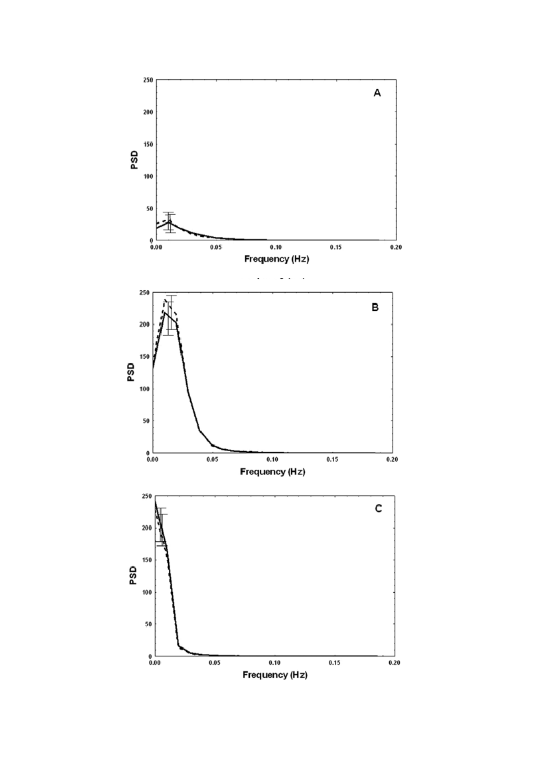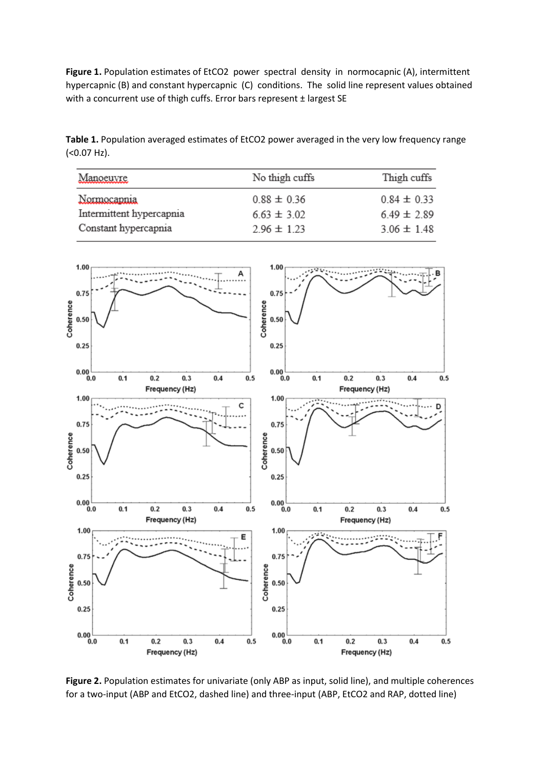**Figure 1.** Population estimates of EtCO2 power spectral density in normocapnic (A), intermittent hypercapnic (B) and constant hypercapnic (C) conditions. The solid line represent values obtained with a concurrent use of thigh cuffs. Error bars represent ± largest SE

**Table 1.** Population averaged estimates of EtCO2 power averaged in the very low frequency range (<0.07 Hz).

| Manoeuvre                | No thigh cuffs  | Thigh cuffs     |
|--------------------------|-----------------|-----------------|
| Normocannia              | $0.88 \pm 0.36$ | $0.84 \pm 0.33$ |
| Intermittent hypercapnia | $6.63 \pm 3.02$ | $6.49 \pm 2.89$ |
| Constant hypercapnia     | $2.96 \pm 1.23$ | $3.06 \pm 1.48$ |



**Figure 2.** Population estimates for univariate (only ABP as input, solid line), and multiple coherences for a two-input (ABP and EtCO2, dashed line) and three-input (ABP, EtCO2 and RAP, dotted line)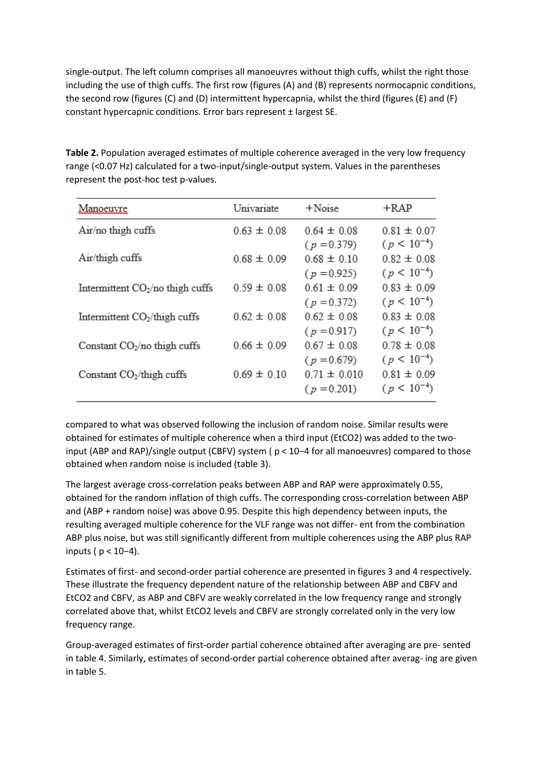single-output. The left column comprises all manoeuvres without thigh cuffs, whilst the right those including the use of thigh cuffs. The first row (figures (A) and (B) represents normocapnic conditions, the second row (figures (C) and (D) intermittent hypercapnia, whilst the third (figures (E) and (F) constant hypercapnic conditions. Error bars represent ± largest SE.

**Table 2.** Population averaged estimates of multiple coherence averaged in the very low frequency range (<0.07 Hz) calculated for a two-input/single-output system. Values in the parentheses represent the post-hoc test p-values.

| Manoeuvre                         | Univariate      | $+$ Noise        | $+$ RAP         |
|-----------------------------------|-----------------|------------------|-----------------|
| Air/no thigh cuffs                | $0.63 \pm 0.08$ | $0.64 \pm 0.08$  | $0.81 \pm 0.07$ |
|                                   |                 | $(p = 0.379)$    | $(p < 10^{-4})$ |
| Air/thigh cuffs                   | $0.68 \pm 0.09$ | $0.68 \pm 0.10$  | $0.82 \pm 0.08$ |
|                                   |                 | $(p = 0.925)$    | $(p < 10^{-4})$ |
| Intermittent $CO2/no$ thigh cuffs | $0.59 \pm 0.08$ | $0.61 \pm 0.09$  | $0.83 \pm 0.09$ |
|                                   |                 | $(p = 0.372)$    | $(p < 10^{-4})$ |
| Intermittent $CO2/thigh$ cuffs    | $0.62 \pm 0.08$ | $0.62 \pm 0.08$  | $0.83 \pm 0.08$ |
|                                   |                 | $(p = 0.917)$    | $(p < 10^{-4})$ |
| Constant $CO2/no$ thigh cuffs     | $0.66 \pm 0.09$ | $0.67 \pm 0.08$  | $0.78 \pm 0.08$ |
|                                   |                 | $(p = 0.679)$    | $(p < 10^{-4})$ |
| Constant $CO2/thigh$ cuffs        | $0.69 \pm 0.10$ | $0.71 \pm 0.010$ | $0.81 \pm 0.09$ |
|                                   |                 | $(p = 0.201)$    | $(p < 10^{-4})$ |

compared to what was observed following the inclusion of random noise. Similar results were obtained for estimates of multiple coherence when a third input (EtCO2) was added to the twoinput (ABP and RAP)/single output (CBFV) system ( p < 10−4 for all manoeuvres) compared to those obtained when random noise is included (table 3).

The largest average cross-correlation peaks between ABP and RAP were approximately 0.55, obtained for the random inflation of thigh cuffs. The corresponding cross-correlation between ABP and (ABP + random noise) was above 0.95. Despite this high dependency between inputs, the resulting averaged multiple coherence for the VLF range was not differ- ent from the combination ABP plus noise, but was still significantly different from multiple coherences using the ABP plus RAP inputs ( p < 10−4).

Estimates of first- and second-order partial coherence are presented in figures 3 and 4 respectively. These illustrate the frequency dependent nature of the relationship between ABP and CBFV and EtCO2 and CBFV, as ABP and CBFV are weakly correlated in the low frequency range and strongly correlated above that, whilst EtCO2 levels and CBFV are strongly correlated only in the very low frequency range.

Group-averaged estimates of first-order partial coherence obtained after averaging are pre- sented in table 4. Similarly, estimates of second-order partial coherence obtained after averag- ing are given in table 5.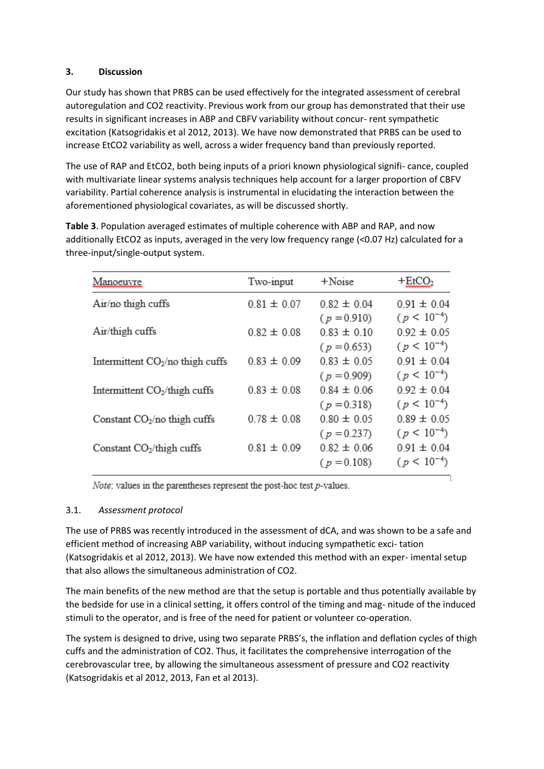### **3. Discussion**

Our study has shown that PRBS can be used effectively for the integrated assessment of cerebral autoregulation and CO2 reactivity. Previous work from our group has demonstrated that their use results in significant increases in ABP and CBFV variability without concur- rent sympathetic excitation (Katsogridakis et al 2012, 2013). We have now demonstrated that PRBS can be used to increase EtCO2 variability as well, across a wider frequency band than previously reported.

The use of RAP and EtCO2, both being inputs of a priori known physiological signifi- cance, coupled with multivariate linear systems analysis techniques help account for a larger proportion of CBFV variability. Partial coherence analysis is instrumental in elucidating the interaction between the aforementioned physiological covariates, as will be discussed shortly.

**Table 3**. Population averaged estimates of multiple coherence with ABP and RAP, and now additionally EtCO2 as inputs, averaged in the very low frequency range (<0.07 Hz) calculated for a three-input/single-output system.

| Manoeuvre                         | Two-input       | $+$ Noise       | $+EtCO2$        |
|-----------------------------------|-----------------|-----------------|-----------------|
| Air/no thigh cuffs                | $0.81 \pm 0.07$ | $0.82 \pm 0.04$ | $0.91 \pm 0.04$ |
|                                   |                 | $(p = 0.910)$   | $(p < 10^{-4})$ |
| Air/thigh cuffs                   | $0.82 \pm 0.08$ | $0.83 \pm 0.10$ | $0.92 \pm 0.05$ |
|                                   |                 | $(p = 0.653)$   | $(p < 10^{-4})$ |
| Intermittent $CO2/no$ thigh cuffs | $0.83 \pm 0.09$ | $0.83 \pm 0.05$ | $0.91 \pm 0.04$ |
|                                   |                 | $(p = 0.909)$   | $(p < 10^{-4})$ |
| Intermittent $CO2/thigh$ cuffs    | $0.83 \pm 0.08$ | $0.84 \pm 0.06$ | $0.92 \pm 0.04$ |
|                                   |                 | $(p = 0.318)$   | $(p < 10^{-4})$ |
| Constant $CO2/no$ thigh cuffs     | $0.78 \pm 0.08$ | $0.80 \pm 0.05$ | $0.89 \pm 0.05$ |
|                                   |                 | $(p = 0.237)$   | $(p < 10^{-4})$ |
| Constant $CO2/thigh$ cuffs        | $0.81 \pm 0.09$ | $0.82 \pm 0.06$ | $0.91 \pm 0.04$ |
|                                   |                 | $(p = 0.108)$   | $(p < 10^{-4})$ |

*Note:* values in the parentheses represent the post-hoc test  $p$ -values.

### 3.1. *Assessment protocol*

The use of PRBS was recently introduced in the assessment of dCA, and was shown to be a safe and efficient method of increasing ABP variability, without inducing sympathetic exci- tation (Katsogridakis et al 2012, 2013). We have now extended this method with an exper- imental setup that also allows the simultaneous administration of CO2.

The main benefits of the new method are that the setup is portable and thus potentially available by the bedside for use in a clinical setting, it offers control of the timing and mag- nitude of the induced stimuli to the operator, and is free of the need for patient or volunteer co-operation.

The system is designed to drive, using two separate PRBS's, the inflation and deflation cycles of thigh cuffs and the administration of CO2. Thus, it facilitates the comprehensive interrogation of the cerebrovascular tree, by allowing the simultaneous assessment of pressure and CO2 reactivity (Katsogridakis et al 2012, 2013, Fan et al 2013).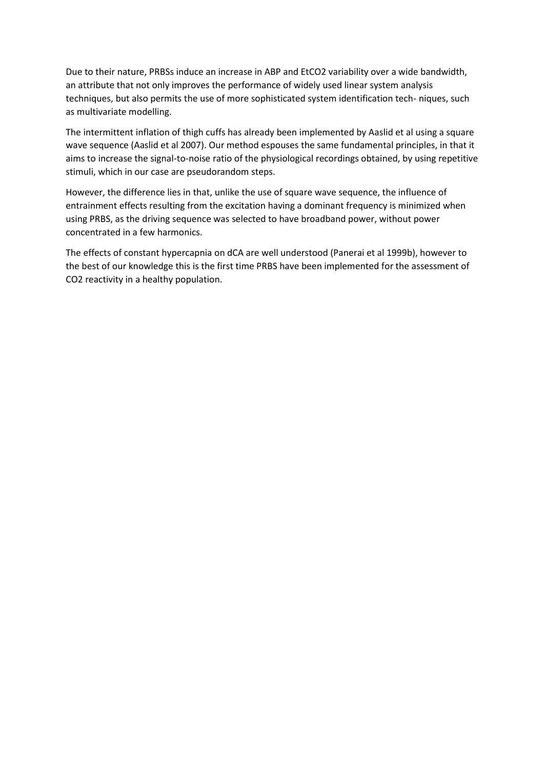Due to their nature, PRBSs induce an increase in ABP and EtCO2 variability over a wide bandwidth, an attribute that not only improves the performance of widely used linear system analysis techniques, but also permits the use of more sophisticated system identification tech- niques, such as multivariate modelling.

The intermittent inflation of thigh cuffs has already been implemented by Aaslid et al using a square wave sequence (Aaslid et al 2007). Our method espouses the same fundamental principles, in that it aims to increase the signal-to-noise ratio of the physiological recordings obtained, by using repetitive stimuli, which in our case are pseudorandom steps.

However, the difference lies in that, unlike the use of square wave sequence, the influence of entrainment effects resulting from the excitation having a dominant frequency is minimized when using PRBS, as the driving sequence was selected to have broadband power, without power concentrated in a few harmonics.

The effects of constant hypercapnia on dCA are well understood (Panerai et al 1999b), however to the best of our knowledge this is the first time PRBS have been implemented for the assessment of CO2 reactivity in a healthy population.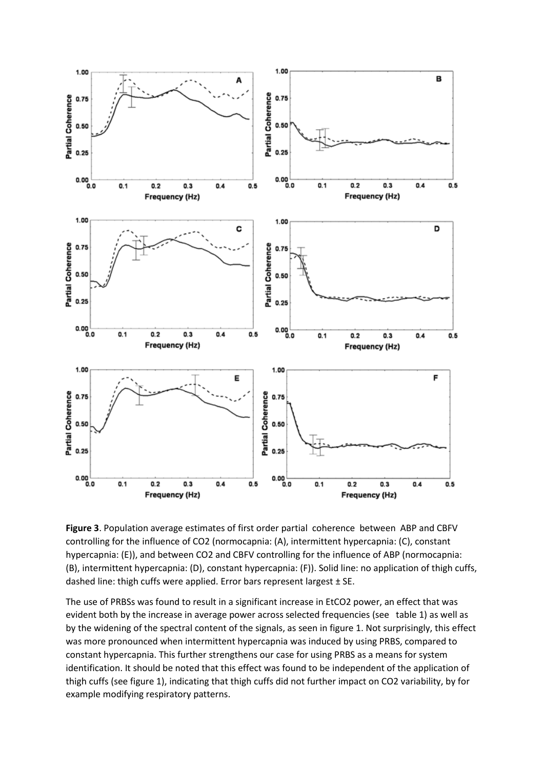

**Figure 3**. Population average estimates of first order partial coherence between ABP and CBFV controlling for the influence of CO2 (normocapnia: (A), intermittent hypercapnia: (C), constant hypercapnia: (E)), and between CO2 and CBFV controlling for the influence of ABP (normocapnia: (B), intermittent hypercapnia: (D), constant hypercapnia: (F)). Solid line: no application of thigh cuffs, dashed line: thigh cuffs were applied. Error bars represent largest ± SE.

The use of PRBSs was found to result in a significant increase in EtCO2 power, an effect that was evident both by the increase in average power across selected frequencies (see table 1) as well as by the widening of the spectral content of the signals, as seen in figure 1. Not surprisingly, this effect was more pronounced when intermittent hypercapnia was induced by using PRBS, compared to constant hypercapnia. This further strengthens our case for using PRBS as a means for system identification. It should be noted that this effect was found to be independent of the application of thigh cuffs (see figure 1), indicating that thigh cuffs did not further impact on CO2 variability, by for example modifying respiratory patterns.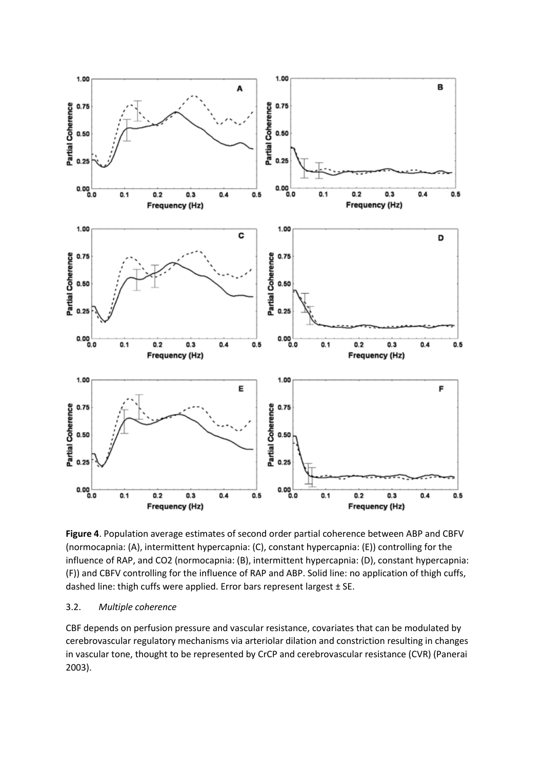

**Figure 4**. Population average estimates of second order partial coherence between ABP and CBFV (normocapnia: (A), intermittent hypercapnia: (C), constant hypercapnia: (E)) controlling for the influence of RAP, and CO2 (normocapnia: (B), intermittent hypercapnia: (D), constant hypercapnia: (F)) and CBFV controlling for the influence of RAP and ABP. Solid line: no application of thigh cuffs, dashed line: thigh cuffs were applied. Error bars represent largest ± SE.

### 3.2. *Multiple coherence*

CBF depends on perfusion pressure and vascular resistance, covariates that can be modulated by cerebrovascular regulatory mechanisms via arteriolar dilation and constriction resulting in changes in vascular tone, thought to be represented by CrCP and cerebrovascular resistance (CVR) (Panerai 2003).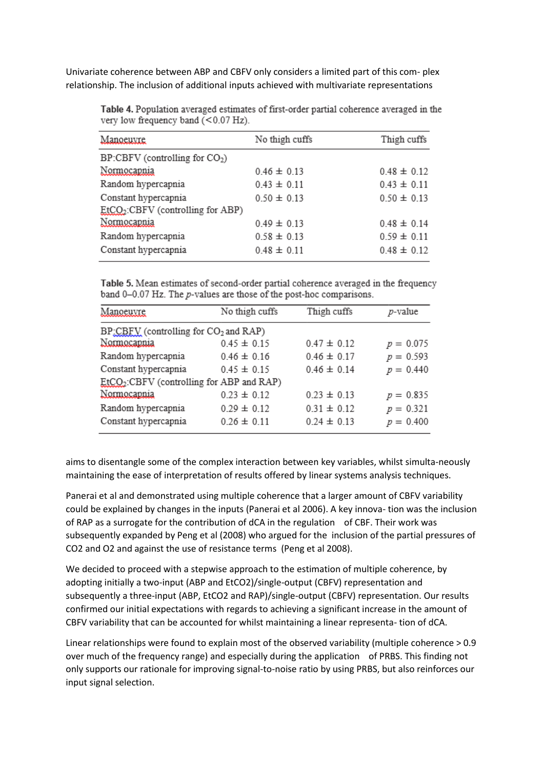Univariate coherence between ABP and CBFV only considers a limited part of this com- plex relationship. The inclusion of additional inputs achieved with multivariate representations

| Manoeuvre                                     | No thigh cuffs  | Thigh cuffs     |
|-----------------------------------------------|-----------------|-----------------|
| $BP:CBFV$ (controlling for $CO2$ )            |                 |                 |
| Normocapnia                                   | $0.46 \pm 0.13$ | $0.48 \pm 0.12$ |
| Random hypercapnia                            | $0.43 \pm 0.11$ | $0.43 \pm 0.11$ |
| Constant hypercapnia                          | $0.50 \pm 0.13$ | $0.50 \pm 0.13$ |
| EtCO <sub>2</sub> :CBFV (controlling for ABP) |                 |                 |
| Normocapnia                                   | $0.49 \pm 0.13$ | $0.48 \pm 0.14$ |
| Random hypercapnia                            | $0.58 \pm 0.13$ | $0.59 \pm 0.11$ |
| Constant hypercapnia                          | $0.48 \pm 0.11$ | $0.48 \pm 0.12$ |

Table 4. Population averaged estimates of first-order partial coherence averaged in the very low frequency band  $(< 0.07$  Hz).

Table 5. Mean estimates of second-order partial coherence averaged in the frequency band  $0-0.07$  Hz. The  $p$ -values are those of the post-hoc comparisons.

| Manoeuvre                                             | No thigh cuffs  | Thigh cuffs     | p-value     |
|-------------------------------------------------------|-----------------|-----------------|-------------|
| BP:CBFV (controlling for CO <sub>2</sub> and RAP)     |                 |                 |             |
| Normocapnia                                           | $0.45 \pm 0.15$ | $0.47 \pm 0.12$ | $p = 0.075$ |
| Random hypercapnia                                    | $0.46 \pm 0.16$ | $0.46 \pm 0.17$ | $p = 0.593$ |
| Constant hypercapnia                                  | $0.45 \pm 0.15$ | $0.46 \pm 0.14$ | $p = 0.440$ |
| EtCO <sub>2</sub> :CBFV (controlling for ABP and RAP) |                 |                 |             |
| Normocapnia                                           | $0.23 \pm 0.12$ | $0.23 \pm 0.13$ | $p = 0.835$ |
| Random hypercapnia                                    | $0.29 \pm 0.12$ | $0.31 \pm 0.12$ | $p = 0.321$ |
| Constant hypercapnia                                  | $0.26 \pm 0.11$ | $0.24 \pm 0.13$ | $p = 0.400$ |

aims to disentangle some of the complex interaction between key variables, whilst simulta-neously maintaining the ease of interpretation of results offered by linear systems analysis techniques.

Panerai et al and demonstrated using multiple coherence that a larger amount of CBFV variability could be explained by changes in the inputs (Panerai et al 2006). A key innova- tion was the inclusion of RAP as a surrogate for the contribution of dCA in the regulation of CBF. Their work was subsequently expanded by Peng et al (2008) who argued for the inclusion of the partial pressures of CO2 and O2 and against the use of resistance terms (Peng et al 2008).

We decided to proceed with a stepwise approach to the estimation of multiple coherence, by adopting initially a two-input (ABP and EtCO2)/single-output (CBFV) representation and subsequently a three-input (ABP, EtCO2 and RAP)/single-output (CBFV) representation. Our results confirmed our initial expectations with regards to achieving a significant increase in the amount of CBFV variability that can be accounted for whilst maintaining a linear representa- tion of dCA.

Linear relationships were found to explain most of the observed variability (multiple coherence > 0.9 over much of the frequency range) and especially during the application of PRBS. This finding not only supports our rationale for improving signal-to-noise ratio by using PRBS, but also reinforces our input signal selection.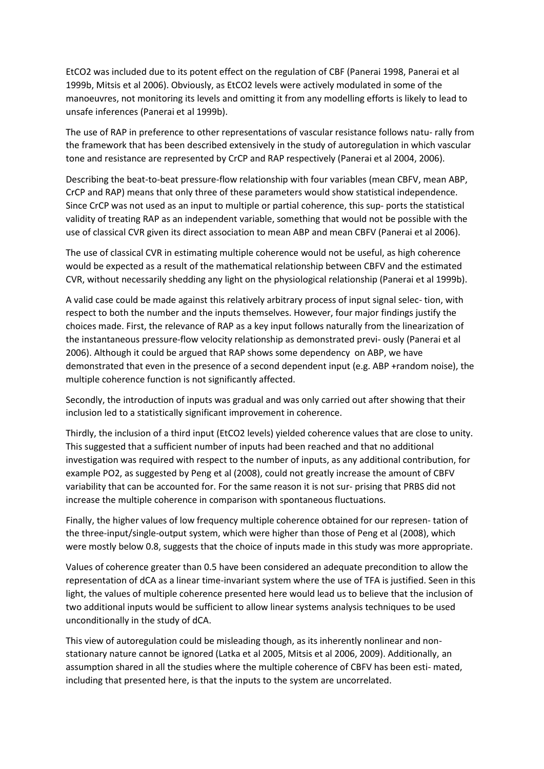EtCO2 was included due to its potent effect on the regulation of CBF (Panerai 1998, Panerai et al 1999b, Mitsis et al 2006). Obviously, as EtCO2 levels were actively modulated in some of the manoeuvres, not monitoring its levels and omitting it from any modelling efforts is likely to lead to unsafe inferences (Panerai et al 1999b).

The use of RAP in preference to other representations of vascular resistance follows natu- rally from the framework that has been described extensively in the study of autoregulation in which vascular tone and resistance are represented by CrCP and RAP respectively (Panerai et al 2004, 2006).

Describing the beat-to-beat pressure-flow relationship with four variables (mean CBFV, mean ABP, CrCP and RAP) means that only three of these parameters would show statistical independence. Since CrCP was not used as an input to multiple or partial coherence, this sup- ports the statistical validity of treating RAP as an independent variable, something that would not be possible with the use of classical CVR given its direct association to mean ABP and mean CBFV (Panerai et al 2006).

The use of classical CVR in estimating multiple coherence would not be useful, as high coherence would be expected as a result of the mathematical relationship between CBFV and the estimated CVR, without necessarily shedding any light on the physiological relationship (Panerai et al 1999b).

A valid case could be made against this relatively arbitrary process of input signal selec- tion, with respect to both the number and the inputs themselves. However, four major findings justify the choices made. First, the relevance of RAP as a key input follows naturally from the linearization of the instantaneous pressure-flow velocity relationship as demonstrated previ- ously (Panerai et al 2006). Although it could be argued that RAP shows some dependency on ABP, we have demonstrated that even in the presence of a second dependent input (e.g. ABP +random noise), the multiple coherence function is not significantly affected.

Secondly, the introduction of inputs was gradual and was only carried out after showing that their inclusion led to a statistically significant improvement in coherence.

Thirdly, the inclusion of a third input (EtCO2 levels) yielded coherence values that are close to unity. This suggested that a sufficient number of inputs had been reached and that no additional investigation was required with respect to the number of inputs, as any additional contribution, for example PO2, as suggested by Peng et al (2008), could not greatly increase the amount of CBFV variability that can be accounted for. For the same reason it is not sur- prising that PRBS did not increase the multiple coherence in comparison with spontaneous fluctuations.

Finally, the higher values of low frequency multiple coherence obtained for our represen- tation of the three-input/single-output system, which were higher than those of Peng et al (2008), which were mostly below 0.8, suggests that the choice of inputs made in this study was more appropriate.

Values of coherence greater than 0.5 have been considered an adequate precondition to allow the representation of dCA as a linear time-invariant system where the use of TFA is justified. Seen in this light, the values of multiple coherence presented here would lead us to believe that the inclusion of two additional inputs would be sufficient to allow linear systems analysis techniques to be used unconditionally in the study of dCA.

This view of autoregulation could be misleading though, as its inherently nonlinear and nonstationary nature cannot be ignored (Latka et al 2005, Mitsis et al 2006, 2009). Additionally, an assumption shared in all the studies where the multiple coherence of CBFV has been esti- mated, including that presented here, is that the inputs to the system are uncorrelated.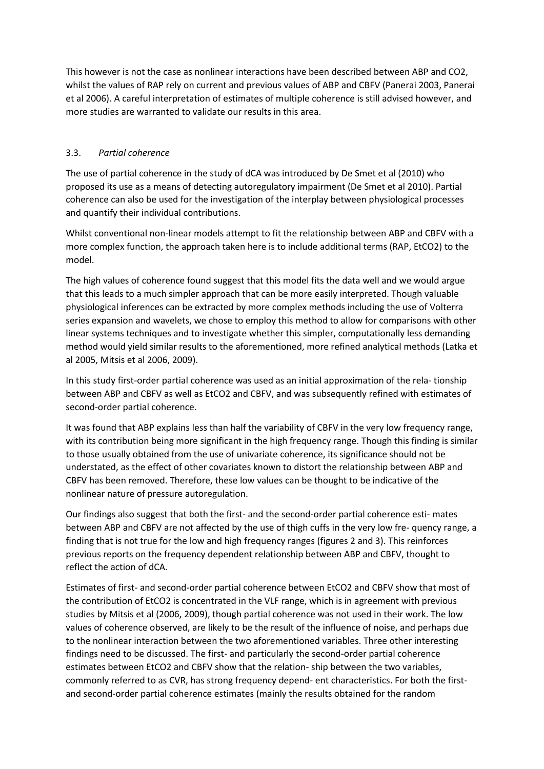This however is not the case as nonlinear interactions have been described between ABP and CO2, whilst the values of RAP rely on current and previous values of ABP and CBFV (Panerai 2003, Panerai et al 2006). A careful interpretation of estimates of multiple coherence is still advised however, and more studies are warranted to validate our results in this area.

### 3.3. *Partial coherence*

The use of partial coherence in the study of dCA was introduced by De Smet et al (2010) who proposed its use as a means of detecting autoregulatory impairment (De Smet et al 2010). Partial coherence can also be used for the investigation of the interplay between physiological processes and quantify their individual contributions.

Whilst conventional non-linear models attempt to fit the relationship between ABP and CBFV with a more complex function, the approach taken here is to include additional terms (RAP, EtCO2) to the model.

The high values of coherence found suggest that this model fits the data well and we would argue that this leads to a much simpler approach that can be more easily interpreted. Though valuable physiological inferences can be extracted by more complex methods including the use of Volterra series expansion and wavelets, we chose to employ this method to allow for comparisons with other linear systems techniques and to investigate whether this simpler, computationally less demanding method would yield similar results to the aforementioned, more refined analytical methods (Latka et al 2005, Mitsis et al 2006, 2009).

In this study first-order partial coherence was used as an initial approximation of the rela- tionship between ABP and CBFV as well as EtCO2 and CBFV, and was subsequently refined with estimates of second-order partial coherence.

It was found that ABP explains less than half the variability of CBFV in the very low frequency range, with its contribution being more significant in the high frequency range. Though this finding is similar to those usually obtained from the use of univariate coherence, its significance should not be understated, as the effect of other covariates known to distort the relationship between ABP and CBFV has been removed. Therefore, these low values can be thought to be indicative of the nonlinear nature of pressure autoregulation.

Our findings also suggest that both the first- and the second-order partial coherence esti- mates between ABP and CBFV are not affected by the use of thigh cuffs in the very low fre- quency range, a finding that is not true for the low and high frequency ranges (figures 2 and 3). This reinforces previous reports on the frequency dependent relationship between ABP and CBFV, thought to reflect the action of dCA.

Estimates of first- and second-order partial coherence between EtCO2 and CBFV show that most of the contribution of EtCO2 is concentrated in the VLF range, which is in agreement with previous studies by Mitsis et al (2006, 2009), though partial coherence was not used in their work. The low values of coherence observed, are likely to be the result of the influence of noise, and perhaps due to the nonlinear interaction between the two aforementioned variables. Three other interesting findings need to be discussed. The first- and particularly the second-order partial coherence estimates between EtCO2 and CBFV show that the relation- ship between the two variables, commonly referred to as CVR, has strong frequency depend- ent characteristics. For both the firstand second-order partial coherence estimates (mainly the results obtained for the random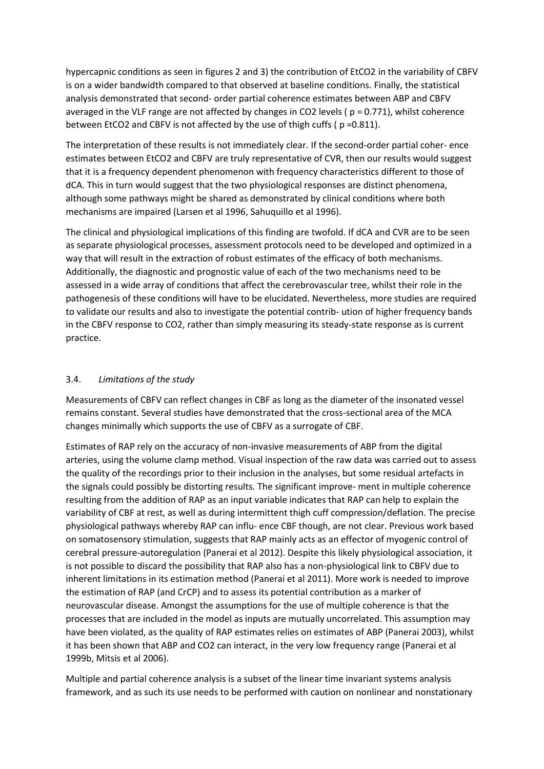hypercapnic conditions as seen in figures 2 and 3) the contribution of EtCO2 in the variability of CBFV is on a wider bandwidth compared to that observed at baseline conditions. Finally, the statistical analysis demonstrated that second- order partial coherence estimates between ABP and CBFV averaged in the VLF range are not affected by changes in CO2 levels ( $p = 0.771$ ), whilst coherence between EtCO2 and CBFV is not affected by the use of thigh cuffs (p=0.811).

The interpretation of these results is not immediately clear. If the second-order partial coher- ence estimates between EtCO2 and CBFV are truly representative of CVR, then our results would suggest that it is a frequency dependent phenomenon with frequency characteristics different to those of dCA. This in turn would suggest that the two physiological responses are distinct phenomena, although some pathways might be shared as demonstrated by clinical conditions where both mechanisms are impaired (Larsen et al 1996, Sahuquillo et al 1996).

The clinical and physiological implications of this finding are twofold. If dCA and CVR are to be seen as separate physiological processes, assessment protocols need to be developed and optimized in a way that will result in the extraction of robust estimates of the efficacy of both mechanisms. Additionally, the diagnostic and prognostic value of each of the two mechanisms need to be assessed in a wide array of conditions that affect the cerebrovascular tree, whilst their role in the pathogenesis of these conditions will have to be elucidated. Nevertheless, more studies are required to validate our results and also to investigate the potential contrib- ution of higher frequency bands in the CBFV response to CO2, rather than simply measuring its steady-state response as is current practice.

### 3.4. *Limitations of the study*

Measurements of CBFV can reflect changes in CBF as long as the diameter of the insonated vessel remains constant. Several studies have demonstrated that the cross-sectional area of the MCA changes minimally which supports the use of CBFV as a surrogate of CBF.

Estimates of RAP rely on the accuracy of non-invasive measurements of ABP from the digital arteries, using the volume clamp method. Visual inspection of the raw data was carried out to assess the quality of the recordings prior to their inclusion in the analyses, but some residual artefacts in the signals could possibly be distorting results. The significant improve- ment in multiple coherence resulting from the addition of RAP as an input variable indicates that RAP can help to explain the variability of CBF at rest, as well as during intermittent thigh cuff compression/deflation. The precise physiological pathways whereby RAP can influ- ence CBF though, are not clear. Previous work based on somatosensory stimulation, suggests that RAP mainly acts as an effector of myogenic control of cerebral pressure-autoregulation (Panerai et al 2012). Despite this likely physiological association, it is not possible to discard the possibility that RAP also has a non-physiological link to CBFV due to inherent limitations in its estimation method (Panerai et al 2011). More work is needed to improve the estimation of RAP (and CrCP) and to assess its potential contribution as a marker of neurovascular disease. Amongst the assumptions for the use of multiple coherence is that the processes that are included in the model as inputs are mutually uncorrelated. This assumption may have been violated, as the quality of RAP estimates relies on estimates of ABP (Panerai 2003), whilst it has been shown that ABP and CO2 can interact, in the very low frequency range (Panerai et al 1999b, Mitsis et al 2006).

Multiple and partial coherence analysis is a subset of the linear time invariant systems analysis framework, and as such its use needs to be performed with caution on nonlinear and nonstationary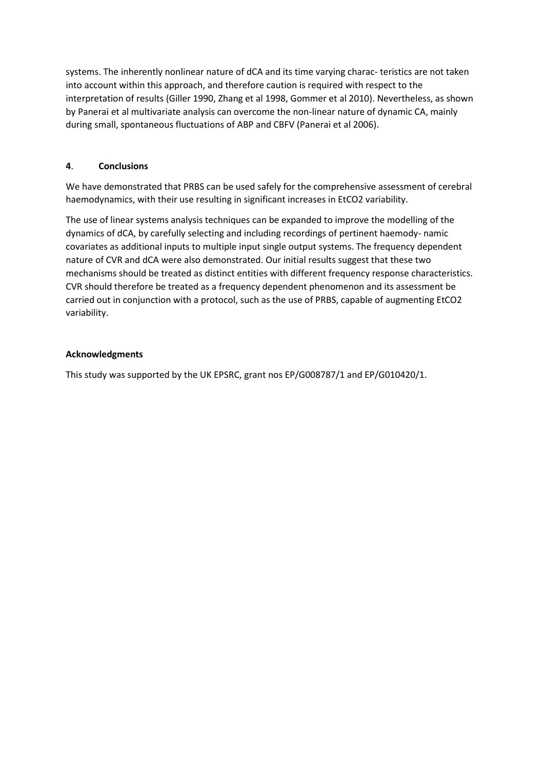systems. The inherently nonlinear nature of dCA and its time varying charac- teristics are not taken into account within this approach, and therefore caution is required with respect to the interpretation of results (Giller 1990, Zhang et al 1998, Gommer et al 2010). Nevertheless, as shown by Panerai et al multivariate analysis can overcome the non-linear nature of dynamic CA, mainly during small, spontaneous fluctuations of ABP and CBFV (Panerai et al 2006).

### **4**. **Conclusions**

We have demonstrated that PRBS can be used safely for the comprehensive assessment of cerebral haemodynamics, with their use resulting in significant increases in EtCO2 variability.

The use of linear systems analysis techniques can be expanded to improve the modelling of the dynamics of dCA, by carefully selecting and including recordings of pertinent haemody- namic covariates as additional inputs to multiple input single output systems. The frequency dependent nature of CVR and dCA were also demonstrated. Our initial results suggest that these two mechanisms should be treated as distinct entities with different frequency response characteristics. CVR should therefore be treated as a frequency dependent phenomenon and its assessment be carried out in conjunction with a protocol, such as the use of PRBS, capable of augmenting EtCO2 variability.

## **Acknowledgments**

This study was supported by the UK EPSRC, grant nos EP/G008787/1 and EP/G010420/1.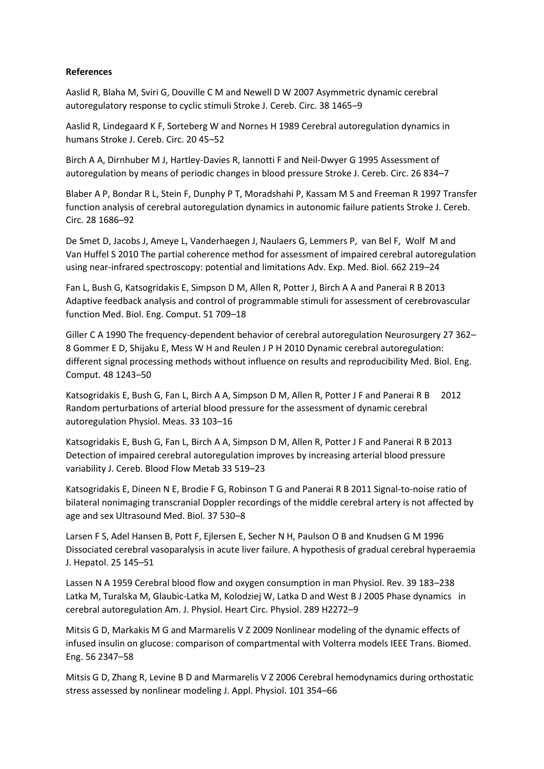### **References**

Aaslid R, Blaha M, Sviri G, Douville C M and Newell D W 2007 Asymmetric dynamic cerebral autoregulatory response to cyclic stimuli Stroke J. Cereb. Circ. 38 1465–9

Aaslid R, Lindegaard K F, Sorteberg W and Nornes H 1989 Cerebral autoregulation dynamics in humans Stroke J. Cereb. Circ. 20 45–52

Birch A A, Dirnhuber M J, Hartley-Davies R, Iannotti F and Neil-Dwyer G 1995 Assessment of autoregulation by means of periodic changes in blood pressure Stroke J. Cereb. Circ. 26 834–7

Blaber A P, Bondar R L, Stein F, Dunphy P T, Moradshahi P, Kassam M S and Freeman R 1997 Transfer function analysis of cerebral autoregulation dynamics in autonomic failure patients Stroke J. Cereb. Circ. 28 1686–92

De Smet D, Jacobs J, Ameye L, Vanderhaegen J, Naulaers G, Lemmers P, van Bel F, Wolf M and Van Huffel S 2010 The partial coherence method for assessment of impaired cerebral autoregulation using near-infrared spectroscopy: potential and limitations Adv. Exp. Med. Biol. 662 219–24

Fan L, Bush G, Katsogridakis E, Simpson D M, Allen R, Potter J, Birch A A and Panerai R B 2013 Adaptive feedback analysis and control of programmable stimuli for assessment of cerebrovascular function Med. Biol. Eng. Comput. 51 709–18

Giller C A 1990 The frequency-dependent behavior of cerebral autoregulation Neurosurgery 27 362– 8 Gommer E D, Shijaku E, Mess W H and Reulen J P H 2010 Dynamic cerebral autoregulation: different signal processing methods without influence on results and reproducibility Med. Biol. Eng. Comput. 48 1243–50

Katsogridakis E, Bush G, Fan L, Birch A A, Simpson D M, Allen R, Potter J F and Panerai R B 2012 Random perturbations of arterial blood pressure for the assessment of dynamic cerebral autoregulation Physiol. Meas. 33 103–16

Katsogridakis E, Bush G, Fan L, Birch A A, Simpson D M, Allen R, Potter J F and Panerai R B 2013 Detection of impaired cerebral autoregulation improves by increasing arterial blood pressure variability J. Cereb. Blood Flow Metab 33 519–23

Katsogridakis E, Dineen N E, Brodie F G, Robinson T G and Panerai R B 2011 Signal-to-noise ratio of bilateral nonimaging transcranial Doppler recordings of the middle cerebral artery is not affected by age and sex Ultrasound Med. Biol. 37 530–8

Larsen F S, Adel Hansen B, Pott F, Ejlersen E, Secher N H, Paulson O B and Knudsen G M 1996 Dissociated cerebral vasoparalysis in acute liver failure. A hypothesis of gradual cerebral hyperaemia J. Hepatol. 25 145–51

Lassen N A 1959 Cerebral blood flow and oxygen consumption in man Physiol. Rev. 39 183–238 Latka M, Turalska M, Glaubic-Latka M, Kolodziej W, Latka D and West B J 2005 Phase dynamics in cerebral autoregulation Am. J. Physiol. Heart Circ. Physiol. 289 H2272–9

Mitsis G D, Markakis M G and Marmarelis V Z 2009 Nonlinear modeling of the dynamic effects of infused insulin on glucose: comparison of compartmental with Volterra models IEEE Trans. Biomed. Eng. 56 2347–58

Mitsis G D, Zhang R, Levine B D and Marmarelis V Z 2006 Cerebral hemodynamics during orthostatic stress assessed by nonlinear modeling J. Appl. Physiol. 101 354–66